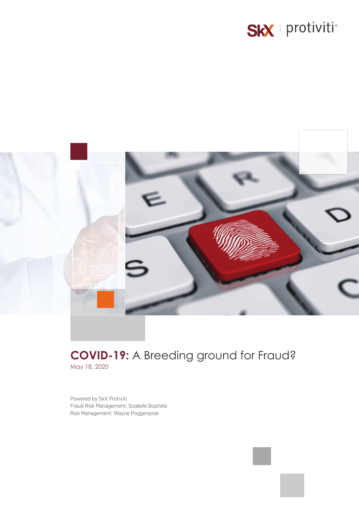# SkX | protiviti\*



## **COVID-19:** A Breeding ground for Fraud? May 18, 2020

Powered by SkX Protiviti Fraud Risk Management: Sizakele Bophela Risk Management: Wayne Poggenpoel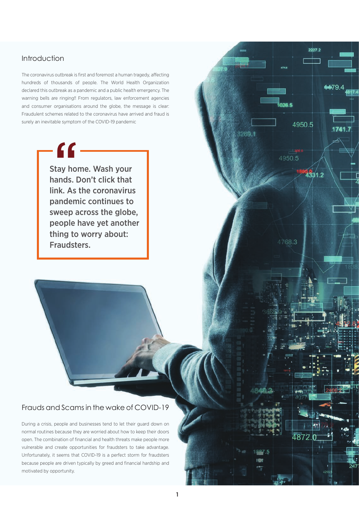## Introduction

The coronavirus outbreak is first and foremost a human tragedy, affecting hundreds of thousands of people. The World Health Organization declared this outbreak as a pandemic and a public health emergency. The warning bells are ringing!! From regulators, law enforcement agencies and consumer organisations around the globe, the message is clear: Fraudulent schemes related to the coronavirus have arrived and fraud is surely an inevitable symptom of the COVID-19 pandemic

> Stay home. Wash your hands. Don't click that link. As the coronavirus pandemic continues to sweep across the globe, people have yet another thing to worry about: Fraudsters.

 $\epsilon$ 

## Frauds and Scams in the wake of COVID-19

During a crisis, people and businesses tend to let their guard down on normal routines because they are worried about how to keep their doors open. The combination of financial and health threats make people more vulnerable and create opportunities for fraudsters to take advantage. Unfortunately, it seems that COVID-19 is a perfect storm for fraudsters because people are driven typically by greed and financial hardship and motivated by opportunity.

2227.2

4950.5

4331.2

4950.5

4768.3

ORG 1

4479

17417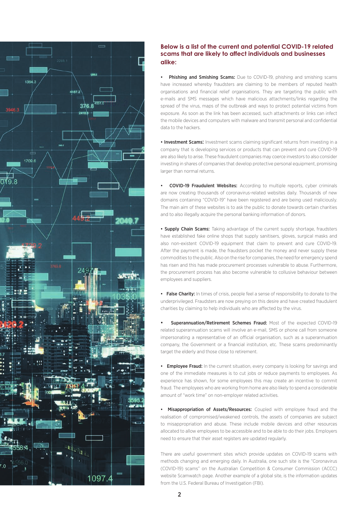

### **Below is a list of the current and potential COVID-19 related scams that are likely to affect individuals and businesses alike:**

Phishing and Smishing Scams: Due to COVID-19, phishing and smishing scams have increased whereby fraudsters are claiming to be members of reputed health organisations and financial relief organisations. They are targeting the public with e-mails and SMS messages which have malicious attachments/links regarding the spread of the virus, maps of the outbreak and ways to protect potential victims from exposure. As soon as the link has been accessed, such attachments or links can infect the mobile devices and computers with malware and transmit personal and confidential data to the hackers.

• Investment Scams: Investment scams claiming significant returns from investing in a company that is developing services or products that can prevent and cure COVID-19 are also likely to arise. These fraudulent companies may coerce investors to also consider investing in shares of companies that develop protective personal equipment, promising larger than normal returns.

• COVID-19 Fraudulent Websites: According to multiple reports, cyber criminals are now creating thousands of coronavirus-related websites daily. Thousands of new domains containing "COVID-19" have been registered and are being used maliciously. The main aim of these websites is to ask the public to donate towards certain charities and to also illegally acquire the personal banking information of donors.

• Supply Chain Scams: Taking advantage of the current supply shortage, fraudsters have established fake online shops that supply sanitisers, gloves, surgical masks and also non-existent COVID-19 equipment that claim to prevent and cure COVID-19. After the payment is made, the fraudsters pocket the money and never supply these commodities to the public. Also on the rise for companies, the need for emergency spend has risen and this has made procurement processes vulnerable to abuse. Furthermore, the procurement process has also become vulnerable to collusive behaviour between employees and suppliers.

• False Charity: In times of crisis, people feel a sense of responsibility to donate to the underprivileged. Fraudsters are now preying on this desire and have created fraudulent charities by claiming to help individuals who are affected by the virus.

Superannuation/Retirement Schemes Fraud: Most of the expected COVID-19 related superannuation scams will involve an e-mail, SMS or phone call from someone impersonating a representative of an official organisation, such as a superannuation company, the Government or a financial institution, etc. These scams predominantly target the elderly and those close to retirement.

• Employee Fraud: In the current situation, every company is looking for savings and one of the immediate measures is to cut jobs or reduce payments to employees. As experience has shown, for some employees this may create an incentive to commit fraud. The employees who are working from home are also likely to spend a considerable amount of "work time" on non-employer related activities.

• Misappropriation of Assets/Resources: Coupled with employee fraud and the realisation of compromised/weakened controls, the assets of companies are subject to misappropriation and abuse. These include mobile devices and other resources allocated to allow employees to be accessible and to be able to do their jobs. Employers need to ensure that their asset registers are updated regularly.

There are useful government sites which provide updates on COVID-19 scams with methods changing and emerging daily. In Australia, one such site is the "Coronavirus (COVID-19) scams" on the Australian Competition & Consumer Commission (ACCC) website Scamwatch page. Another example of a global site, is the information updates from the U.S. Federal Bureau of Investigation (FBI).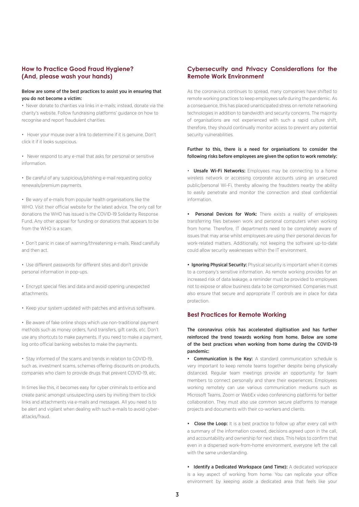#### **How to Practice Good Fraud Hygiene? (And, please wash your hands)**

#### Below are some of the best practices to assist you in ensuring that you do not become a victim:

• Never donate to charities via links in e-mails; instead, donate via the charity's website. Follow fundraising platforms' guidance on how to recognise and report fraudulent charities.

• Hover your mouse over a link to determine if it is genuine. Don't click it if it looks suspicious.

• Never respond to any e-mail that asks for personal or sensitive information.

• Be careful of any suspicious/phishing e-mail requesting policy renewals/premium payments.

• Be wary of e-mails from popular health organisations like the WHO. Visit their official website for the latest advice. The only call for donations the WHO has issued is the COVID-19 Solidarity Response Fund. Any other appeal for funding or donations that appears to be from the WHO is a scam.

• Don't panic in case of warning/threatening e-mails. Read carefully and then act.

• Use different passwords for different sites and don't provide personal information in pop-ups.

• Encrypt special files and data and avoid opening unexpected attachments.

• Keep your system updated with patches and antivirus software.

• Be aware of fake online shops which use non-traditional payment methods such as money orders, fund transfers, gift cards, etc. Don't use any shortcuts to make payments. If you need to make a payment, log onto official banking websites to make the payments.

• Stay informed of the scams and trends in relation to COVID-19, such as, investment scams, schemes offering discounts on products, companies who claim to provide drugs that prevent COVID-19, etc.

In times like this, it becomes easy for cyber criminals to entice and create panic amongst unsuspecting users by inviting them to click links and attachments via e-mails and messages. All you need is to be alert and vigilant when dealing with such e-mails to avoid cyberattacks/fraud.

#### **Cybersecurity and Privacy Considerations for the Remote Work Environment**

As the coronavirus continues to spread, many companies have shifted to remote working practices to keep employees safe during the pandemic. As a consequence, this has placed unanticipated stress on remote networking technologies in addition to bandwidth and security concerns. The majority of organisations are not experienced with such a rapid culture shift, therefore, they should continually monitor access to prevent any potential security vulnerabilities.

#### Further to this, there is a need for organisations to consider the following risks before employees are given the option to work remotely:

• Unsafe Wi-Fi Networks: Employees may be connecting to a home wireless network or accessing corporate accounts using an unsecured public/personal Wi-Fi, thereby allowing the fraudsters nearby the ability to easily penetrate and monitor the connection and steal confidential information.

• Personal Devices for Work: There exists a reality of employees transferring files between work and personal computers when working from home. Therefore, IT departments need to be completely aware of issues that may arise whilst employees are using their personal devices for work-related matters. Additionally, not keeping the software up-to-date could allow security weaknesses within the IT environment.

• Ignoring Physical Security: Physical security is important when it comes to a company's sensitive information. As remote working provides for an increased risk of data leakage, a reminder must be provided to employees not to expose or allow business data to be compromised. Companies must also ensure that secure and appropriate IT controls are in place for data protection.

#### **Best Practices for Remote Working**

The coronavirus crisis has accelerated digitisation and has further reinforced the trend towards working from home. Below are some of the best practices when working from home during the COVID-19 pandemic:

• Communication is the Key: A standard communication schedule is very important to keep remote teams together despite being physically distanced. Regular team meetings provide an opportunity for team members to connect personally and share their experiences. Employees working remotely can use various communication mediums such as Microsoft Teams, Zoom or WebEx video conferencing platforms for better collaboration. They must also use common secure platforms to manage projects and documents with their co-workers and clients.

• Close the Loop: It is a best practice to follow up after every call with a summary of the information covered, decisions agreed upon in the call, and accountability and ownership for next steps. This helps to confirm that even in a dispersed work-from-home environment, everyone left the call with the same understanding.

• Identify a Dedicated Workspace (and Time): A dedicated workspace is a key aspect of working from home. You can replicate your office environment by keeping aside a dedicated area that feels like your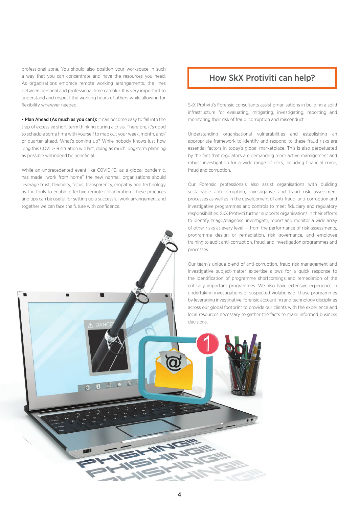professional zone. You should also position your workspace in such a way that you can concentrate and have the resources you need. As organisations embrace remote working arrangements, the lines between personal and professional time can blur. It is very important to understand and respect the working hours of others while allowing for flexibility wherever needed.

• Plan Ahead (As much as you can!): It can become easy to fall into the trap of excessive short-term thinking during a crisis. Therefore, it's good to schedule some time with yourself to map out your week, month, and/ or quarter ahead. What's coming up? While nobody knows just how long this COVID-19 situation will last, doing as much long-term planning as possible will indeed be beneficial.

While an unprecedented event like COVID-19, as a global pandemic, has made "work from home" the new normal, organisations should leverage trust, flexibility, focus, transparency, empathy and technology as the tools to enable effective remote collaboration. These practices and tips can be useful for setting up a successful work arrangement and together we can face the future with confidence.

UOL

## How SkX Protiviti can help?

SkX Protiviti's Forensic consultants assist organisations in building a solid infrastructure for evaluating, mitigating, investigating, reporting and monitoring their risk of fraud, corruption and misconduct.

Understanding organisational vulnerabilities and establishing an appropriate framework to identify and respond to these fraud risks are essential factors in today's global marketplace. This is also perpetuated by the fact that regulators are demanding more active management and robust investigation for a wide range of risks, including financial crime fraud and corruption.

Our Forensic professionals also assist organisations with building sustainable anti-corruption, investigative and fraud risk assessment processes as well as in the development of anti-fraud, anti-corruption and investigative programmes and controls to meet fiduciary and regulatory responsibilities. SkX Protiviti further supports organisations in their efforts to identify, triage/diagnose, investigate, report and monitor a wide array of other risks at every level — from the performance of risk assessments, programme design or remediation, risk governance, and employee training to audit anti-corruption, fraud, and investigation programmes and processes.

Our team's unique blend of anti-corruption, fraud risk management and investigative subject-matter expertise allows for a quick response to the identification of programme shortcomings and remediation of the critically important programmes. We also have extensive experience in undertaking investigations of suspected violations of those programmes by leveraging investigative, forensic accounting and technology disciplines across our global footprint to provide our clients with the experience and local resources necessary to gather the facts to make informed business decisions.